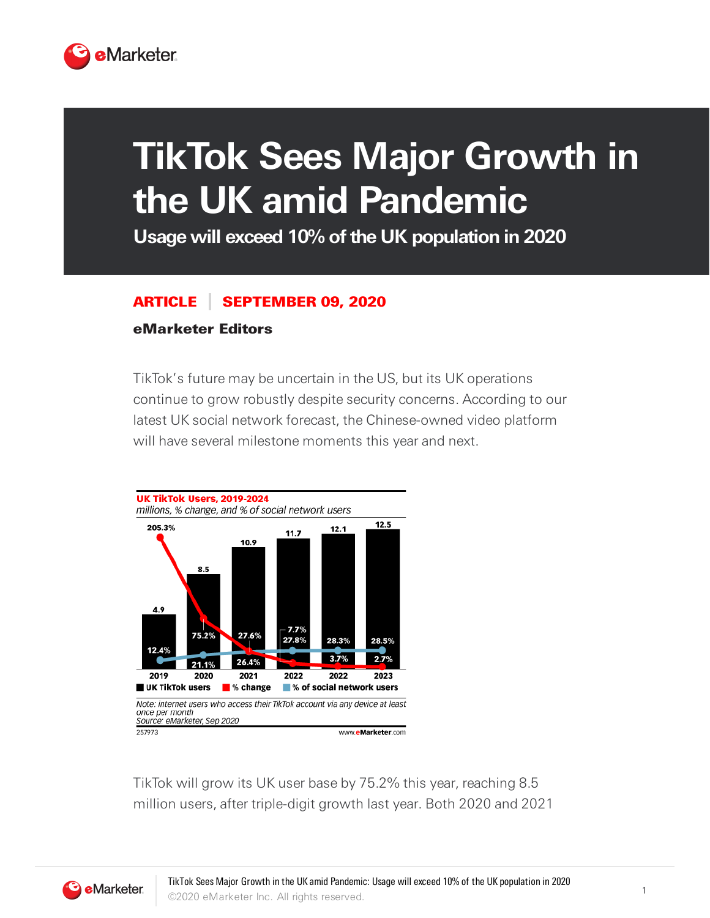

## **TikTok Sees Major Growth in the UK amid Pandemic**

**Usage will exceed 10% ofthe UK population in 2020**

## ARTICLE SEPTEMBER 09, 2020

## eMarketer Editors

TikTok's future may be uncertain in the US, but its UK operations continue to grow robustly despite security concerns. According to our latest UK social network forecast, the Chinese-owned video platform will have several milestone moments this year and next.



TikTok will grow its UK user base by 75.2% this year, reaching 8.5 million users, after triple-digit growth last year. Both 2020 and 2021